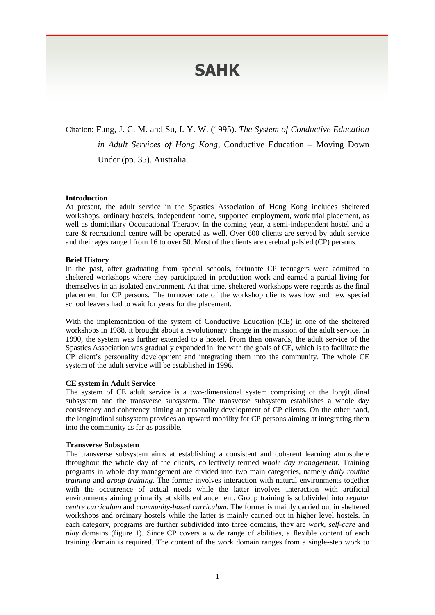# **SAHK**

Citation: Fung, J. C. M. and Su, I. Y. W. (1995). *The System of Conductive Education in Adult Services of Hong Kong,* Conductive Education – Moving Down Under (pp. 35). Australia.

# **Introduction**

At present, the adult service in the Spastics Association of Hong Kong includes sheltered workshops, ordinary hostels, independent home, supported employment, work trial placement, as well as domiciliary Occupational Therapy. In the coming year, a semi-independent hostel and a care & recreational centre will be operated as well. Over 600 clients are served by adult service and their ages ranged from 16 to over 50. Most of the clients are cerebral palsied (CP) persons.

# **Brief History**

In the past, after graduating from special schools, fortunate CP teenagers were admitted to sheltered workshops where they participated in production work and earned a partial living for themselves in an isolated environment. At that time, sheltered workshops were regards as the final placement for CP persons. The turnover rate of the workshop clients was low and new special school leavers had to wait for years for the placement.

With the implementation of the system of Conductive Education (CE) in one of the sheltered workshops in 1988, it brought about a revolutionary change in the mission of the adult service. In 1990, the system was further extended to a hostel. From then onwards, the adult service of the Spastics Association was gradually expanded in line with the goals of CE, which is to facilitate the CP client's personality development and integrating them into the community. The whole CE system of the adult service will be established in 1996.

#### **CE system in Adult Service**

The system of CE adult service is a two-dimensional system comprising of the longitudinal subsystem and the transverse subsystem. The transverse subsystem establishes a whole day consistency and coherency aiming at personality development of CP clients. On the other hand, the longitudinal subsystem provides an upward mobility for CP persons aiming at integrating them into the community as far as possible.

#### **Transverse Subsystem**

The transverse subsystem aims at establishing a consistent and coherent learning atmosphere throughout the whole day of the clients, collectively termed *whole day management*. Training programs in whole day management are divided into two main categories, namely *daily routine training* and *group training*. The former involves interaction with natural environments together with the occurrence of actual needs while the latter involves interaction with artificial environments aiming primarily at skills enhancement. Group training is subdivided into *regular centre curriculum* and *community-based curriculum*. The former is mainly carried out in sheltered workshops and ordinary hostels while the latter is mainly carried out in higher level hostels. In each category, programs are further subdivided into three domains, they are *work*, *self-care* and *play* domains (figure 1). Since CP covers a wide range of abilities, a flexible content of each training domain is required. The content of the work domain ranges from a single-step work to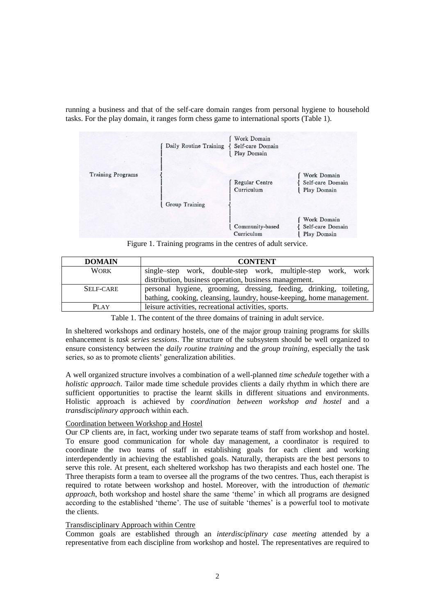running a business and that of the self-care domain ranges from personal hygiene to household tasks. For the play domain, it ranges form chess game to international sports (Table 1).

|                          | Daily Routine Training | Work Domain<br>Self-care Domain<br>Play Domain |                                                |
|--------------------------|------------------------|------------------------------------------------|------------------------------------------------|
| <b>Training Programs</b> |                        | Regular Centre<br>Curriculum                   | Work Domain<br>Self-care Domain<br>Play Domain |
|                          | Group Training         |                                                |                                                |
|                          |                        | Community-based<br>Curriculum                  | Work Domain<br>Self-care Domain<br>Play Domain |

Figure 1. Training programs in the centres of adult service.

| <b>DOMAIN</b> | <b>CONTENT</b>                                                        |  |  |
|---------------|-----------------------------------------------------------------------|--|--|
| <b>WORK</b>   | single-step work, double-step work, multiple-step work, work          |  |  |
|               | distribution, business operation, business management.                |  |  |
| SELF-CARE     | personal hygiene, grooming, dressing, feeding, drinking, toileting,   |  |  |
|               | bathing, cooking, cleansing, laundry, house-keeping, home management. |  |  |
| <b>PLAY</b>   | leisure activities, recreational activities, sports.                  |  |  |

Table 1. The content of the three domains of training in adult service.

In sheltered workshops and ordinary hostels, one of the major group training programs for skills enhancement is *task series sessions*. The structure of the subsystem should be well organized to ensure consistency between the *daily routine training* and the *group training*, especially the task series, so as to promote clients' generalization abilities.

A well organized structure involves a combination of a well-planned *time schedule* together with a *holistic approach*. Tailor made time schedule provides clients a daily rhythm in which there are sufficient opportunities to practise the learnt skills in different situations and environments. Holistic approach is achieved by *coordination between workshop and hostel* and a *transdisciplinary approach* within each.

# Coordination between Workshop and Hostel

Our CP clients are, in fact, working under two separate teams of staff from workshop and hostel. To ensure good communication for whole day management, a coordinator is required to coordinate the two teams of staff in establishing goals for each client and working interdependently in achieving the established goals. Naturally, therapists are the best persons to serve this role. At present, each sheltered workshop has two therapists and each hostel one. The Three therapists form a team to oversee all the programs of the two centres. Thus, each therapist is required to rotate between workshop and hostel. Moreover, with the introduction of *thematic approach*, both workshop and hostel share the same 'theme' in which all programs are designed according to the established 'theme'. The use of suitable 'themes' is a powerful tool to motivate the clients.

# Transdisciplinary Approach within Centre

Common goals are established through an *interdisciplinary case meeting* attended by a representative from each discipline from workshop and hostel. The representatives are required to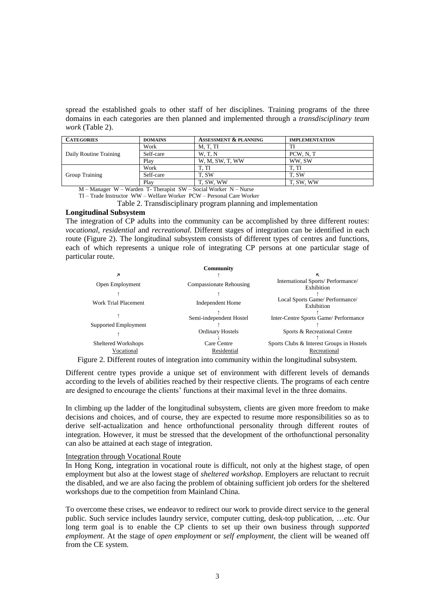spread the established goals to other staff of her disciplines. Training programs of the three domains in each categories are then planned and implemented through a *transdisciplinary team work* (Table 2).

| <b>CATEGORIES</b>      | <b>DOMAINS</b> | <b>ASSESSMENT &amp; PLANNING</b> | <b>IMPLEMENTATION</b> |
|------------------------|----------------|----------------------------------|-----------------------|
| Daily Routine Training | Work           | M, T, TI                         |                       |
|                        | Self-care      | W.T.N                            | PCW, N, T             |
|                        | Play           | W. M. SW. T. WW                  | WW.SW                 |
| Group Training         | Work           | T. TI                            | T. TI                 |
|                        | Self-care      | T. SW                            | T. SW                 |
|                        | Play           | T. SW. WW                        | T, SW, WW             |

M – Manager W – Warden T- Therapist SW – Social Worker N – Nurse TI – Trade Instructor WW – Welfare Worker PCW – Personal Care Worker

Table 2. Transdisciplinary program planning and implementation

### **Longitudinal Subsystem**

The integration of CP adults into the community can be accomplished by three different routes: *vocational*, *residential* and *recreational*. Different stages of integration can be identified in each route (Figure 2). The longitudinal subsystem consists of different types of centres and functions, each of which represents a unique role of integrating CP persons at one particular stage of particular route.

|                             | <b>Community</b>        |                                                 |
|-----------------------------|-------------------------|-------------------------------------------------|
| $\overline{\phantom{a}}$    |                         | κ                                               |
| Open Employment             | Compassionate Rehousing | International Sports/Performance/<br>Exhibition |
|                             |                         |                                                 |
| <b>Work Trial Placement</b> | Independent Home        | Local Sports Game/ Performance/<br>Exhibition   |
|                             | Semi-independent Hostel | Inter-Centre Sports Game/ Performance           |
| Supported Employment        |                         |                                                 |
|                             | <b>Ordinary Hostels</b> | Sports & Recreational Centre                    |
| <b>Sheltered Workshops</b>  | Care Centre             | Sports Clubs & Interest Groups in Hostels       |
| Vocational                  | Residential             | Recreational                                    |

Figure 2. Different routes of integration into community within the longitudinal subsystem.

Different centre types provide a unique set of environment with different levels of demands according to the levels of abilities reached by their respective clients. The programs of each centre are designed to encourage the clients' functions at their maximal level in the three domains.

In climbing up the ladder of the longitudinal subsystem, clients are given more freedom to make decisions and choices, and of course, they are expected to resume more responsibilities so as to derive self-actualization and hence orthofunctional personality through different routes of integration. However, it must be stressed that the development of the orthofunctional personality can also be attained at each stage of integration.

# Integration through Vocational Route

In Hong Kong, integration in vocational route is difficult, not only at the highest stage, of open employment but also at the lowest stage of *sheltered workshop*. Employers are reluctant to recruit the disabled, and we are also facing the problem of obtaining sufficient job orders for the sheltered workshops due to the competition from Mainland China.

To overcome these crises, we endeavor to redirect our work to provide direct service to the general public. Such service includes laundry service, computer cutting, desk-top publication, …etc. Our long term goal is to enable the CP clients to set up their own business through *supported employment*. At the stage of *open employment* or *self employment*, the client will be weaned off from the CE system.